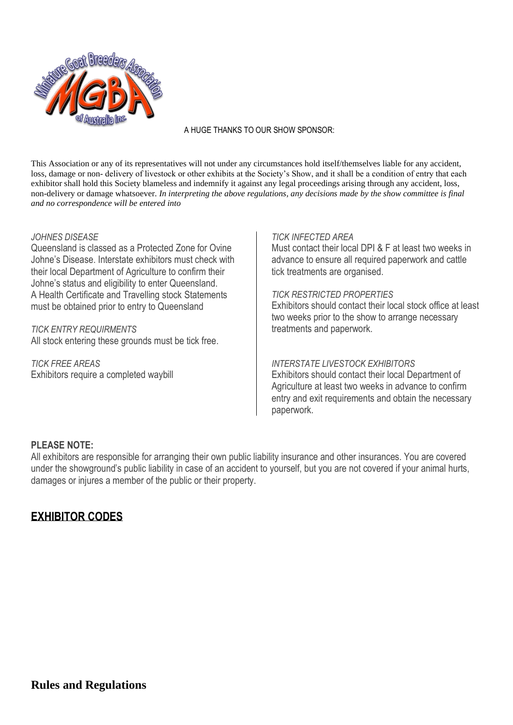

#### A HUGE THANKS TO OUR SHOW SPONSOR:

This Association or any of its representatives will not under any circumstances hold itself/themselves liable for any accident, loss, damage or non- delivery of livestock or other exhibits at the Society's Show, and it shall be a condition of entry that each exhibitor shall hold this Society blameless and indemnify it against any legal proceedings arising through any accident, loss, non-delivery or damage whatsoever. *In interpreting the above regulations, any decisions made by the show committee is final and no correspondence will be entered into*

#### *JOHNES DISEASE*

Queensland is classed as a Protected Zone for Ovine Johne's Disease. Interstate exhibitors must check with their local Department of Agriculture to confirm their Johne's status and eligibility to enter Queensland. A Health Certificate and Travelling stock Statements must be obtained prior to entry to Queensland

*TICK ENTRY REQUIRMENTS*

All stock entering these grounds must be tick free.

*TICK FREE AREAS* Exhibitors require a completed waybill

#### *TICK INFECTED AREA*

Must contact their local DPI & F at least two weeks in advance to ensure all required paperwork and cattle tick treatments are organised.

#### *TICK RESTRICTED PROPERTIES*

Exhibitors should contact their local stock office at least two weeks prior to the show to arrange necessary treatments and paperwork.

#### *INTERSTATE LIVESTOCK EXHIBITORS*

Exhibitors should contact their local Department of Agriculture at least two weeks in advance to confirm entry and exit requirements and obtain the necessary paperwork.

#### **PLEASE NOTE:**

All exhibitors are responsible for arranging their own public liability insurance and other insurances. You are covered under the showground's public liability in case of an accident to yourself, but you are not covered if your animal hurts, damages or injures a member of the public or their property.

## **EXHIBITOR CODES**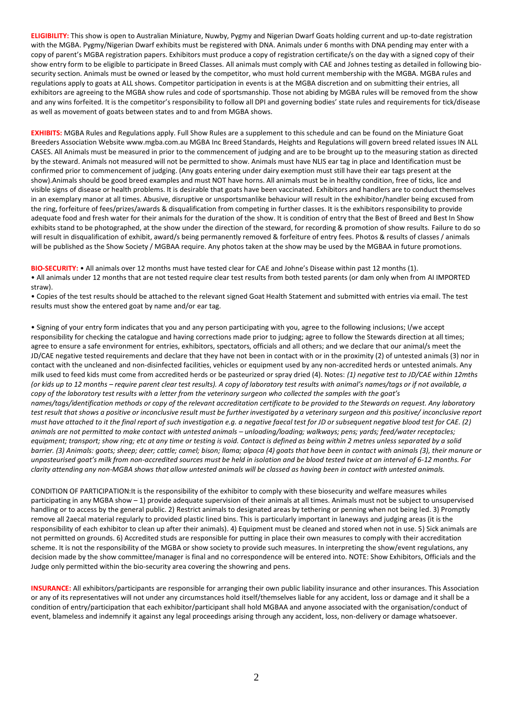**ELIGIBILITY:** This show is open to Australian Miniature, Nuwby, Pygmy and Nigerian Dwarf Goats holding current and up-to-date registration with the MGBA. Pygmy/Nigerian Dwarf exhibits must be registered with DNA. Animals under 6 months with DNA pending may enter with a copy of parent's MGBA registration papers. Exhibitors must produce a copy of registration certificate/s on the day with a signed copy of their show entry form to be eligible to participate in Breed Classes. All animals must comply with CAE and Johnes testing as detailed in following biosecurity section. Animals must be owned or leased by the competitor, who must hold current membership with the MGBA. MGBA rules and regulations apply to goats at ALL shows. Competitor participation in events is at the MGBA discretion and on submitting their entries, all exhibitors are agreeing to the MGBA show rules and code of sportsmanship. Those not abiding by MGBA rules will be removed from the show and any wins forfeited. It is the competitor's responsibility to follow all DPI and governing bodies' state rules and requirements for tick/disease as well as movement of goats between states and to and from MGBA shows.

**EXHIBITS:** MGBA Rules and Regulations apply. Full Show Rules are a supplement to this schedule and can be found on the Miniature Goat Breeders Association Website www.mgba.com.au MGBA Inc Breed Standards, Heights and Regulations will govern breed related issues IN ALL CASES. All Animals must be measured in prior to the commencement of judging and are to be brought up to the measuring station as directed by the steward. Animals not measured will not be permitted to show. Animals must have NLIS ear tag in place and Identification must be confirmed prior to commencement of judging. (Any goats entering under dairy exemption must still have their ear tags present at the show).Animals should be good breed examples and must NOT have horns. All animals must be in healthy condition, free of ticks, lice and visible signs of disease or health problems. It is desirable that goats have been vaccinated. Exhibitors and handlers are to conduct themselves in an exemplary manor at all times. Abusive, disruptive or unsportsmanlike behaviour will result in the exhibitor/handler being excused from the ring, forfeiture of fees/prizes/awards & disqualification from competing in further classes. It is the exhibitors responsibility to provide adequate food and fresh water for their animals for the duration of the show. It is condition of entry that the Best of Breed and Best In Show exhibits stand to be photographed, at the show under the direction of the steward, for recording & promotion of show results. Failure to do so will result in disqualification of exhibit, award/s being permanently removed & forfeiture of entry fees. Photos & results of classes / animals will be published as the Show Society / MGBAA require. Any photos taken at the show may be used by the MGBAA in future promotions.

**BIO-SECURITY:** • All animals over 12 months must have tested clear for CAE and Johne's Disease within past 12 months (1).

• All animals under 12 months that are not tested require clear test results from both tested parents (or dam only when from AI IMPORTED straw).

• Copies of the test results should be attached to the relevant signed Goat Health Statement and submitted with entries via email. The test results must show the entered goat by name and/or ear tag.

• Signing of your entry form indicates that you and any person participating with you, agree to the following inclusions; I/we accept responsibility for checking the catalogue and having corrections made prior to judging; agree to follow the Stewards direction at all times; agree to ensure a safe environment for entries, exhibitors, spectators, officials and all others; and we declare that our animal/s meet the JD/CAE negative tested requirements and declare that they have not been in contact with or in the proximity (2) of untested animals (3) nor in contact with the uncleaned and non-disinfected facilities, vehicles or equipment used by any non-accredited herds or untested animals. Any milk used to feed kids must come from accredited herds or be pasteurized or spray dried (4). Notes: *(1) negative test to JD/CAE within 12mths (or kids up to 12 months – require parent clear test results). A copy of laboratory test results with animal's names/tags or if not available, a copy of the laboratory test results with a letter from the veterinary surgeon who collected the samples with the goat's names/tags/identification methods or copy of the relevant accreditation certificate to be provided to the Stewards on request. Any laboratory test result that shows a positive or inconclusive result must be further investigated by a veterinary surgeon and this positive/ inconclusive report must have attached to it the final report of such investigation e.g. a negative faecal test for JD or subsequent negative blood test for CAE. (2) animals are not permitted to make contact with untested animals – unloading/loading; walkways; pens; yards; feed/water receptacles; equipment; transport; show ring; etc at any time or testing is void. Contact is defined as being within 2 metres unless separated by a solid barrier. (3) Animals: goats; sheep; deer; cattle; camel; bison; llama; alpaca (4) goats that have been in contact with animals (3), their manure or unpasteurised goat's milk from non-accredited sources must be held in isolation and be blood tested twice at an interval of 6-12 months. For clarity attending any non-MGBA shows that allow untested animals will be classed as having been in contact with untested animals.* 

CONDITION OF PARTICIPATION:It is the responsibility of the exhibitor to comply with these biosecurity and welfare measures whiles participating in any MGBA show – 1) provide adequate supervision of their animals at all times. Animals must not be subject to unsupervised handling or to access by the general public. 2) Restrict animals to designated areas by tethering or penning when not being led. 3) Promptly remove all 2aecal material regularly to provided plastic lined bins. This is particularly important in laneways and judging areas (it is the responsibility of each exhibitor to clean up after their animals). 4) Equipment must be cleaned and stored when not in use. 5) Sick animals are not permitted on grounds. 6) Accredited studs are responsible for putting in place their own measures to comply with their accreditation scheme. It is not the responsibility of the MGBA or show society to provide such measures. In interpreting the show/event regulations, any decision made by the show committee/manager is final and no correspondence will be entered into. NOTE: Show Exhibitors, Officials and the Judge only permitted within the bio-security area covering the showring and pens.

**INSURANCE:** All exhibitors/participants are responsible for arranging their own public liability insurance and other insurances. This Association or any of its representatives will not under any circumstances hold itself/themselves liable for any accident, loss or damage and it shall be a condition of entry/participation that each exhibitor/participant shall hold MGBAA and anyone associated with the organisation/conduct of event, blameless and indemnify it against any legal proceedings arising through any accident, loss, non-delivery or damage whatsoever.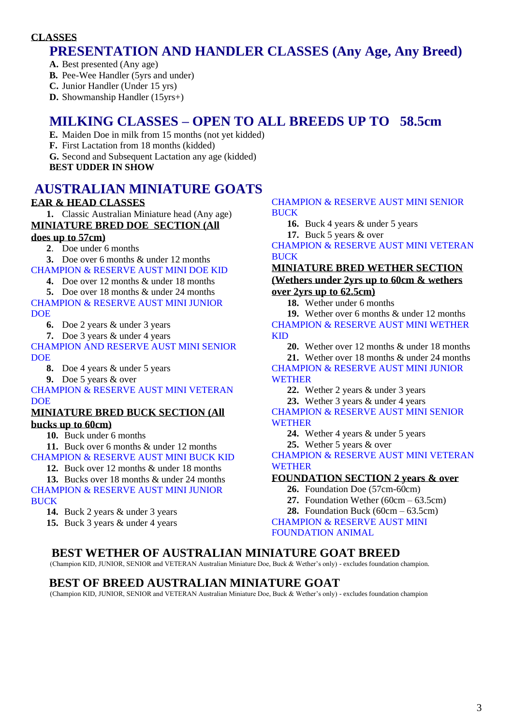#### **CLASSES**

## **PRESENTATION AND HANDLER CLASSES (Any Age, Any Breed)**

**A.** Best presented (Any age)

**B.** Pee-Wee Handler (5yrs and under)

**C.** Junior Handler (Under 15 yrs)

**D.** Showmanship Handler (15yrs+)

## **MILKING CLASSES – OPEN TO ALL BREEDS UP TO 58.5cm**

**E.** Maiden Doe in milk from 15 months (not yet kidded)

**F.** First Lactation from 18 months (kidded)

**G.** Second and Subsequent Lactation any age (kidded)

**BEST UDDER IN SHOW**

## **AUSTRALIAN MINIATURE GOATS**

### **EAR & HEAD CLASSES**

**1.** Classic Australian Miniature head (Any age)

### **MINIATURE BRED DOE SECTION (All**

#### **does up to 57cm)**

**2**. Doe under 6 months

**3.** Doe over 6 months & under 12 months CHAMPION & RESERVE AUST MINI DOE KID

**4.** Doe over 12 months & under 18 months

**5.** Doe over 18 months & under 24 months

CHAMPION & RESERVE AUST MINI JUNIOR **DOE** 

**6.** Doe 2 years & under 3 years

**7.** Doe 3 years & under 4 years

CHAMPION AND RESERVE AUST MINI SENIOR **DOE** 

**8.** Doe 4 years & under 5 years

**9.** Doe 5 years & over

CHAMPION & RESERVE AUST MINI VETERAN **DOE** 

#### **MINIATURE BRED BUCK SECTION (All bucks up to 60cm)**

**10.** Buck under 6 months

**11.** Buck over 6 months & under 12 months

CHAMPION & RESERVE AUST MINI BUCK KID

**12.** Buck over 12 months & under 18 months

**13.** Bucks over 18 months & under 24 months

#### CHAMPION & RESERVE AUST MINI JUNIOR **BUCK**

- **14.** Buck 2 years & under 3 years
- **15.** Buck 3 years & under 4 years

#### CHAMPION & RESERVE AUST MINI SENIOR BUCK

**16.** Buck 4 years & under 5 years

**17.** Buck 5 years & over

CHAMPION & RESERVE AUST MINI VETERAN **BUCK** 

## **MINIATURE BRED WETHER SECTION**

#### **(Wethers under 2yrs up to 60cm & wethers over 2yrs up to 62.5cm)**

**18.** Wether under 6 months

**19.** Wether over 6 months & under 12 months CHAMPION & RESERVE AUST MINI WETHER KID

**20.** Wether over 12 months & under 18 months **21.** Wether over 18 months & under 24 months CHAMPION & RESERVE AUST MINI JUNIOR **WETHER** 

**22.** Wether 2 years & under 3 years

**23.** Wether 3 years & under 4 years

CHAMPION & RESERVE AUST MINI SENIOR **WETHER** 

**24.** Wether 4 years & under 5 years

**25.** Wether 5 years & over

CHAMPION & RESERVE AUST MINI VETERAN **WETHER** 

#### **FOUNDATION SECTION 2 years & over**

- **26.** Foundation Doe (57cm-60cm)
- **27.** Foundation Wether (60cm 63.5cm)
- **28.** Foundation Buck (60cm 63.5cm)

CHAMPION & RESERVE AUST MINI FOUNDATION ANIMAL

## **BEST WETHER OF AUSTRALIAN MINIATURE GOAT BREED**

(Champion KID, JUNIOR, SENIOR and VETERAN Australian Miniature Doe, Buck & Wether's only) - excludes foundation champion.

## **BEST OF BREED AUSTRALIAN MINIATURE GOAT**

(Champion KID, JUNIOR, SENIOR and VETERAN Australian Miniature Doe, Buck & Wether's only) - excludes foundation champion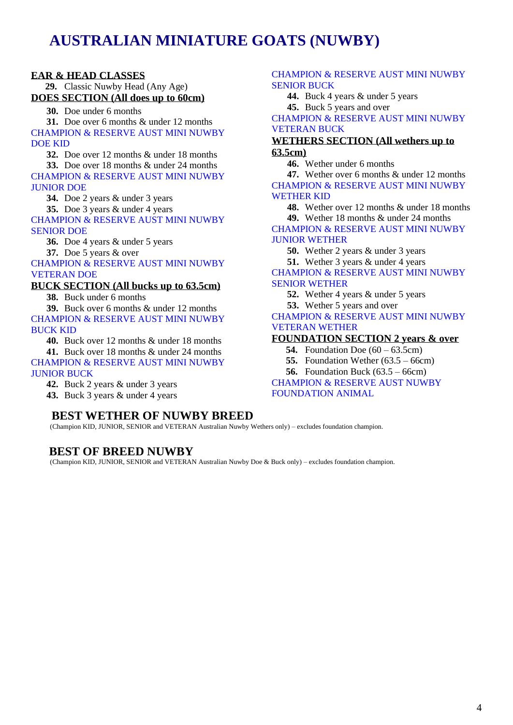# **AUSTRALIAN MINIATURE GOATS (NUWBY)**

#### **EAR & HEAD CLASSES**

 **29.** Classic Nuwby Head (Any Age) **DOES SECTION (All does up to 60cm)**

**30.** Doe under 6 months

**31.** Doe over 6 months & under 12 months CHAMPION & RESERVE AUST MINI NUWBY DOE KID

**32.** Doe over 12 months & under 18 months

**33.** Doe over 18 months & under 24 months

CHAMPION & RESERVE AUST MINI NUWBY JUNIOR DOE

**34.** Doe 2 years & under 3 years

**35.** Doe 3 years & under 4 years

CHAMPION & RESERVE AUST MINI NUWBY SENIOR DOE

**36.** Doe 4 years & under 5 years

**37.** Doe 5 years & over

CHAMPION & RESERVE AUST MINI NUWBY VETERAN DOE

#### **BUCK SECTION (All bucks up to 63.5cm)**

**38.** Buck under 6 months

**39.** Buck over 6 months & under 12 months CHAMPION & RESERVE AUST MINI NUWBY BUCK KID

**40.** Buck over 12 months & under 18 months

**41.** Buck over 18 months & under 24 months CHAMPION & RESERVE AUST MINI NUWBY JUNIOR BUCK

**42.** Buck 2 years & under 3 years

**43.** Buck 3 years & under 4 years

## **BEST WETHER OF NUWBY BREED**

(Champion KID, JUNIOR, SENIOR and VETERAN Australian Nuwby Wethers only) – excludes foundation champion.

## **BEST OF BREED NUWBY**

(Champion KID, JUNIOR, SENIOR and VETERAN Australian Nuwby Doe & Buck only) – excludes foundation champion.

#### CHAMPION & RESERVE AUST MINI NUWBY SENIOR BUCK

**44.** Buck 4 years & under 5 years **45.** Buck 5 years and over

CHAMPION & RESERVE AUST MINI NUWBY VETERAN BUCK

#### **WETHERS SECTION (All wethers up to 63.5cm)**

**46.** Wether under 6 months

**47.** Wether over 6 months & under 12 months CHAMPION & RESERVE AUST MINI NUWBY WETHER KID

**48.** Wether over 12 months & under 18 months **49.** Wether 18 months & under 24 months

CHAMPION & RESERVE AUST MINI NUWBY JUNIOR WETHER

**50.** Wether 2 years & under 3 years

**51.** Wether 3 years & under 4 years

#### CHAMPION & RESERVE AUST MINI NUWBY SENIOR WETHER

**52.** Wether 4 years & under 5 years

**53.** Wether 5 years and over

CHAMPION & RESERVE AUST MINI NUWBY VETERAN WETHER

#### **FOUNDATION SECTION 2 years & over**

 **54.** Foundation Doe (60 – 63.5cm)

 **55.** Foundation Wether (63.5 – 66cm)

 **56.** Foundation Buck (63.5 – 66cm)

CHAMPION & RESERVE AUST NUWBY FOUNDATION ANIMAL.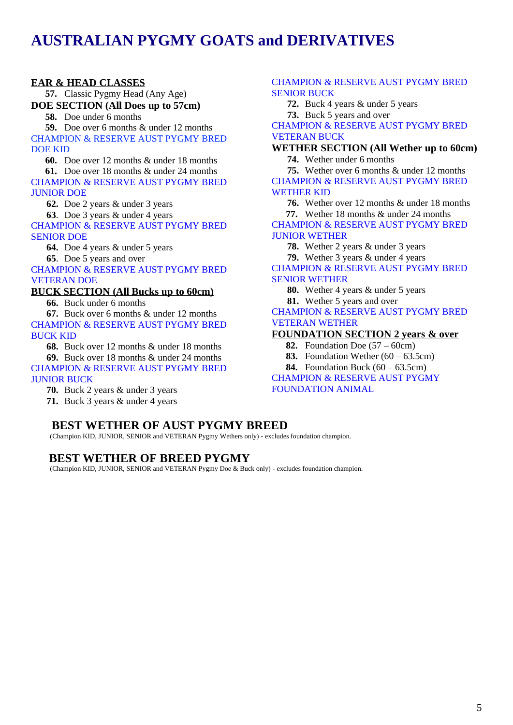## **AUSTRALIAN PYGMY GOATS and DERIVATIVES**

#### **EAR & HEAD CLASSES**

 **57.** Classic Pygmy Head (Any Age) **DOE SECTION (All Does up to 57cm)**

 **58.** Doe under 6 months

 **59.** Doe over 6 months & under 12 months CHAMPION & RESERVE AUST PYGMY BRED DOE KID

 **60.** Doe over 12 months & under 18 months

 **61.** Doe over 18 months & under 24 months CHAMPION & RESERVE AUST PYGMY BRED JUNIOR DOE

**62.** Doe 2 years & under 3 years

**63**. Doe 3 years & under 4 years

CHAMPION & RESERVE AUST PYGMY BRED SENIOR DOE

**64.** Doe 4 years & under 5 years

**65**. Doe 5 years and over

CHAMPION & RESERVE AUST PYGMY BRED VETERAN DOE

#### **BUCK SECTION (All Bucks up to 60cm)**

**66.** Buck under 6 months

**67.** Buck over 6 months & under 12 months CHAMPION & RESERVE AUST PYGMY BRED BUCK KID

**68.** Buck over 12 months & under 18 months **69.** Buck over 18 months & under 24 months CHAMPION & RESERVE AUST PYGMY BRED JUNIOR BUCK

**70.** Buck 2 years & under 3 years

**71.** Buck 3 years & under 4 years

## **BEST WETHER OF AUST PYGMY BREED**

(Champion KID, JUNIOR, SENIOR and VETERAN Pygmy Wethers only) - excludes foundation champion.

## **BEST WETHER OF BREED PYGMY**

(Champion KID, JUNIOR, SENIOR and VETERAN Pygmy Doe & Buck only) - excludes foundation champion.

#### CHAMPION & RESERVE AUST PYGMY BRED SENIOR BUCK

**72.** Buck 4 years & under 5 years

**73.** Buck 5 years and over

CHAMPION & RESERVE AUST PYGMY BRED VETERAN BUCK

#### **WETHER SECTION (All Wether up to 60cm)**

**74.** Wether under 6 months

**75.** Wether over 6 months & under 12 months CHAMPION & RESERVE AUST PYGMY BRED WETHER KID

**76.** Wether over 12 months & under 18 months  **77.** Wether 18 months & under 24 months

CHAMPION & RESERVE AUST PYGMY BRED JUNIOR WETHER

**78.** Wether 2 years & under 3 years

**79.** Wether 3 years & under 4 years

CHAMPION & RESERVE AUST PYGMY BRED SENIOR WETHER

**80.** Wether 4 years & under 5 years

**81.** Wether 5 years and over

CHAMPION & RESERVE AUST PYGMY BRED VETERAN WETHER

#### **FOUNDATION SECTION 2 years & over**

- **82.** Foundation Doe (57 60cm)
- **83.** Foundation Wether (60 63.5cm)
- **84.** Foundation Buck (60 63.5cm)

CHAMPION & RESERVE AUST PYGMY FOUNDATION ANIMAL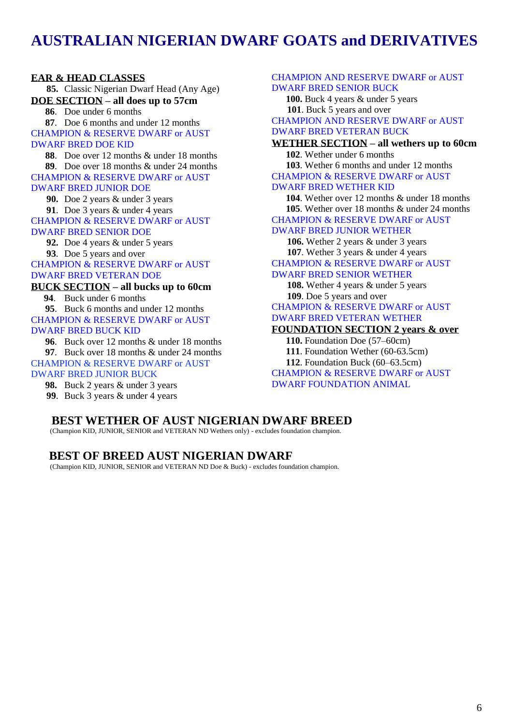## **AUSTRALIAN NIGERIAN DWARF GOATS and DERIVATIVES**

#### **EAR & HEAD CLASSES**

**85.** Classic Nigerian Dwarf Head (Any Age) **DOE SECTION – all does up to 57cm 86**. Doe under 6 months

 **87**. Doe 6 months and under 12 months CHAMPION & RESERVE DWARF or AUST DWARF BRED DOE KID

 **88**. Doe over 12 months & under 18 months  **89**. Doe over 18 months & under 24 months

CHAMPION & RESERVE DWARF or AUST DWARF BRED JUNIOR DOE

**90.** Doe 2 years & under 3 years

**91**. Doe 3 years & under 4 years CHAMPION & RESERVE DWARF or AUST DWARF BRED SENIOR DOE

**92.** Doe 4 years & under 5 years

**93**. Doe 5 years and over

CHAMPION & RESERVE DWARF or AUST DWARF BRED VETERAN DOE

**BUCK SECTION – all bucks up to 60cm**

 **94**. Buck under 6 months  **95**. Buck 6 months and under 12 months CHAMPION & RESERVE DWARF or AUST DWARF BRED BUCK KID

 **96**. Buck over 12 months & under 18 months

 **97**. Buck over 18 months & under 24 months CHAMPION & RESERVE DWARF or AUST

DWARF BRED JUNIOR BUCK

 **98.** Buck 2 years & under 3 years

**99**. Buck 3 years & under 4 years

#### CHAMPION AND RESERVE DWARF or AUST DWARF BRED SENIOR BUCK

 **100.** Buck 4 years & under 5 years **101**. Buck 5 years and over CHAMPION AND RESERVE DWARF or AUST DWARF BRED VETERAN BUCK

**WETHER SECTION – all wethers up to 60cm 102**. Wether under 6 months

 **103**. Wether 6 months and under 12 months CHAMPION & RESERVE DWARF or AUST

#### DWARF BRED WETHER KID

 **104**. Wether over 12 months & under 18 months  **105**. Wether over 18 months & under 24 months CHAMPION & RESERVE DWARF or AUST

#### DWARF BRED JUNIOR WETHER

**106.** Wether 2 years & under 3 years **107**. Wether 3 years & under 4 years

CHAMPION & RESERVE DWARF or AUST

#### DWARF BRED SENIOR WETHER

**108.** Wether 4 years & under 5 years **109**. Doe 5 years and over

CHAMPION & RESERVE DWARF or AUST DWARF BRED VETERAN WETHER

#### **FOUNDATION SECTION 2 years & over**

 **110.** Foundation Doe (57–60cm)  **111**. Foundation Wether (60-63.5cm)

 **112**. Foundation Buck (60–63.5cm)

CHAMPION & RESERVE DWARF or AUST DWARF FOUNDATION ANIMAL

## **BEST WETHER OF AUST NIGERIAN DWARF BREED**

(Champion KID, JUNIOR, SENIOR and VETERAN ND Wethers only) - excludes foundation champion.

## **BEST OF BREED AUST NIGERIAN DWARF**

(Champion KID, JUNIOR, SENIOR and VETERAN ND Doe & Buck) - excludes foundation champion.